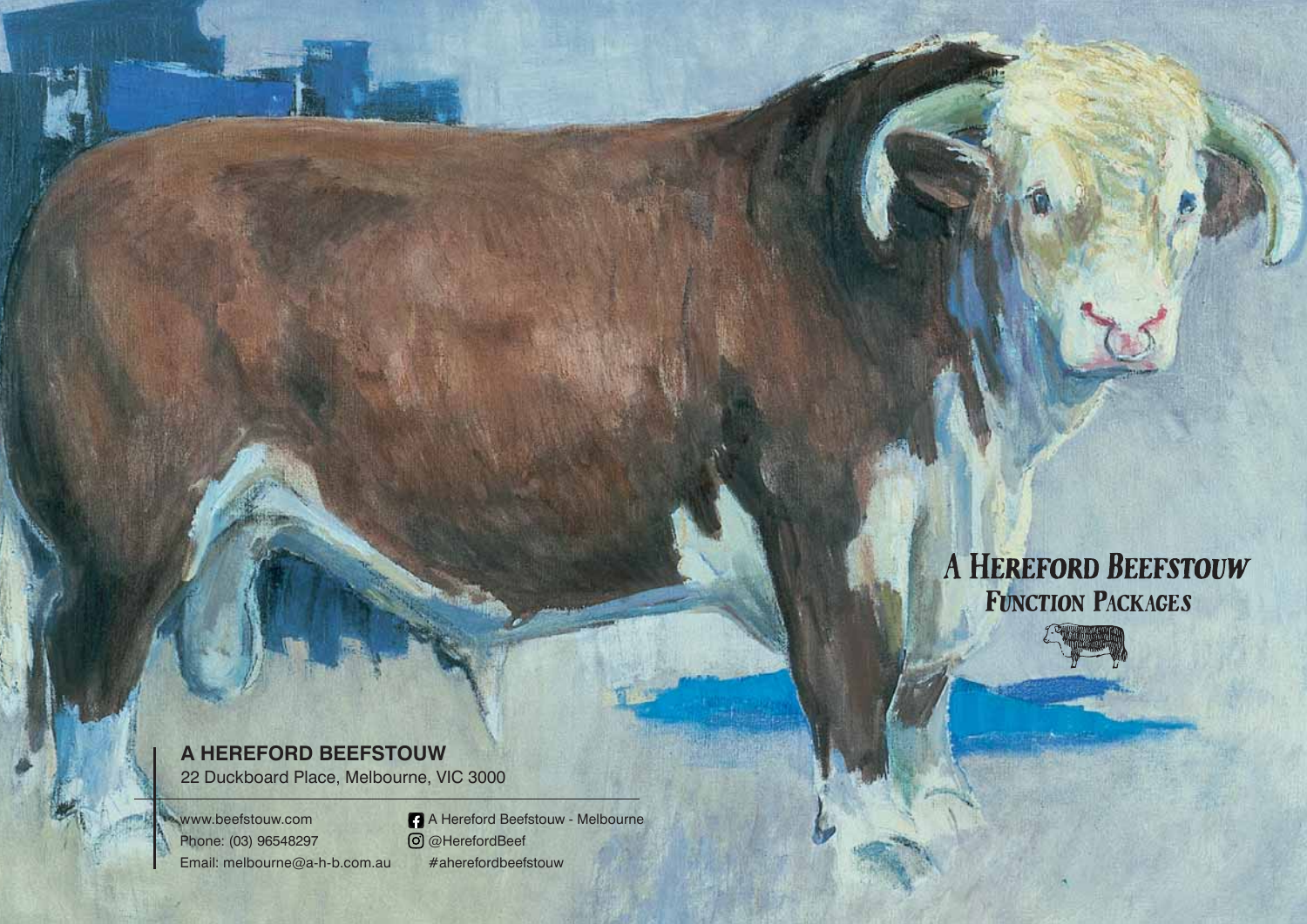## A HEREFORD BEEFSTOUW FUNCTION PACKAGES



22 Duckboard Place, Melbourne, VIC 3000

www.beefstouw.com Phone: (03) 96548297 Email: melbourne@a-h-b.com.au

A Hereford Beefstouw - Melbourne @HerefordBeef #aherefordbeefstouw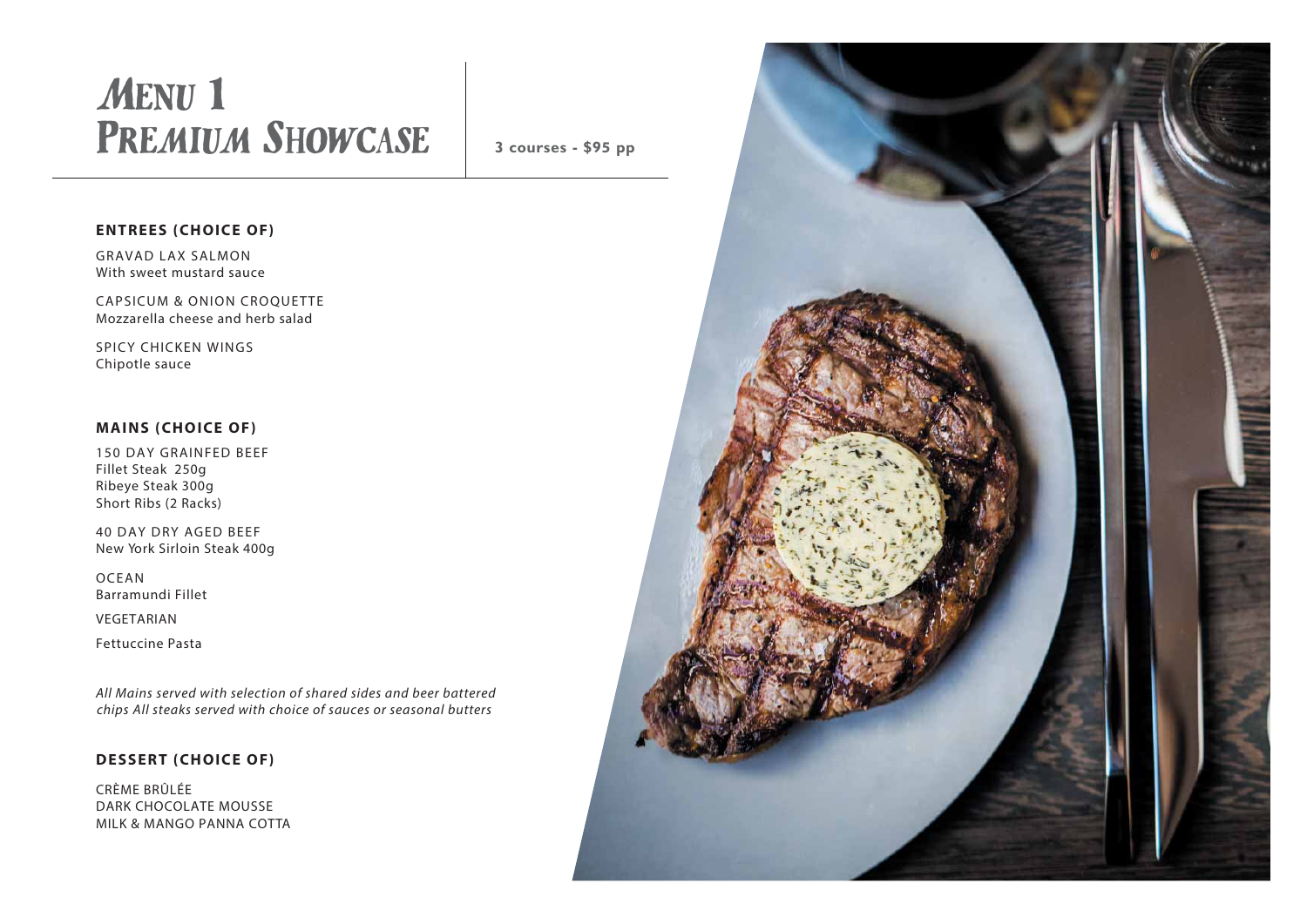## Menu 1 PREMIUM SHOWCASE

**3 courses - \$95 pp**

#### **ENTREES (CHOICE OF)**

GRAVAD LAX SALMON With sweet mustard sauce

CAPSICUM & ONION CROQUETTE Mozzarella cheese and herb salad

SPICY CHICKEN WINGS Chipotle sauce

#### **MAINS (CHOICE OF)**

150 DAY GRAINFED BEEF Fillet Steak 250g Ribeye Steak 300g Short Ribs (2 Racks)

40 DAY DRY AGED BEEF New York Sirloin Steak 400g

OCEAN Barramundi Fillet

VEGETARIAN

Fettuccine Pasta

All Mains served with selection of shared sides and beer battered chips All steaks served with choice of sauces or seasonal butters

#### **DESSERT (CHOICE OF)**

CRÈME BRÛLÉE DARK CHOCOLATE MOUSSE MILK & MANGO PANNA COTTA

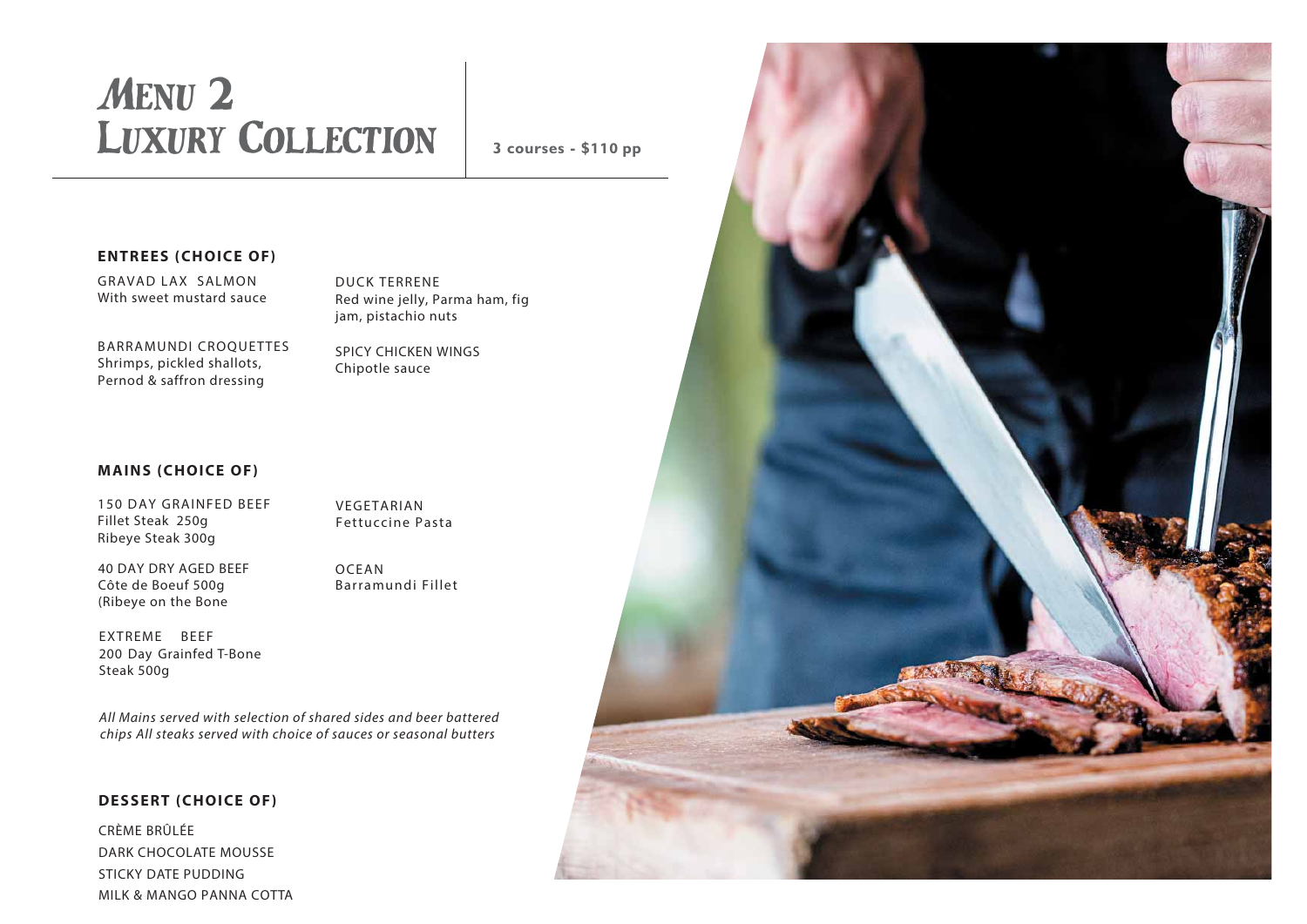# Menu 2 Luxury Collection

**3 courses - \$110 pp**

#### **ENTREES (CHOICE OF)**

GRAVAD LAX SALMON With sweet mustard sauce

DUCK TERRENE Red wine jelly, Parma ham, fig jam, pistachio nuts

BARRAMUNDI CROQUETTES Shrimps, pickled shallots, Pernod & saffron dressing

SPICY CHICKEN WINGS Chipotle sauce

#### **MAINS (CHOICE OF)**

150 DAY GRAINFED BEEF Fillet Steak 250g Ribeye Steak 300g

VEGETARIAN Fettuccine Pasta

40 DAY DRY AGED BEEF Côte de Boeuf 500g (Ribeye on the Bone

OCEAN Barramundi Fillet

EXTREME BEEF 200 Day Grainfed T-Bone Steak 500g

All Mains served with selection of shared sides and beer battered chips All steaks served with choice of sauces or seasonal butters

#### **DESSERT (CHOICE OF)**

CRÈME BRÛLÉE DARK CHOCOLATE MOUSSE STICKY DATE PUDDING MILK & MANGO PANNA COTTA

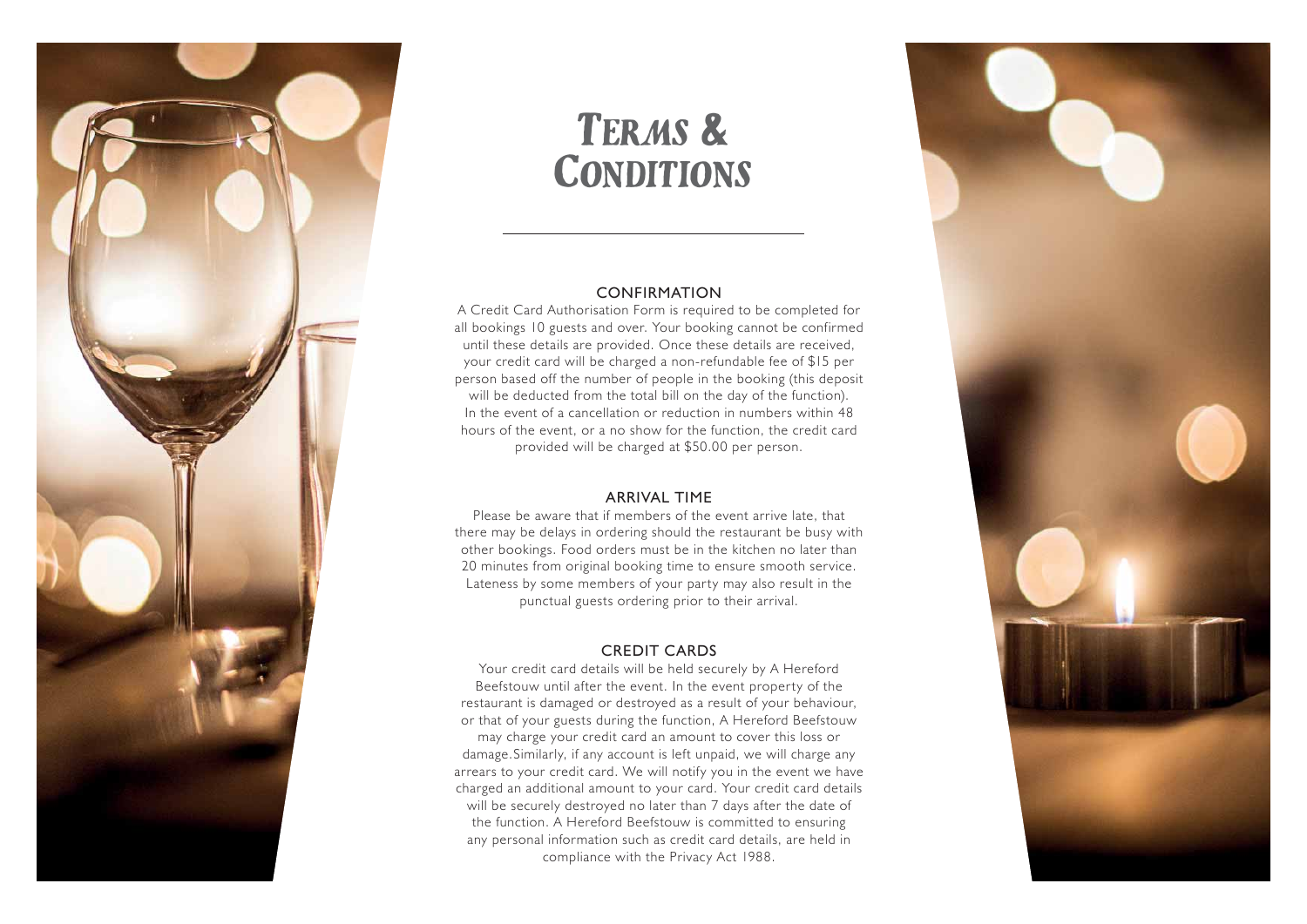

## Terms & **CONDITIONS**

#### CONFIRMATION

A Credit Card Authorisation Form is required to be completed for all bookings 10 guests and over. Your booking cannot be confirmed until these details are provided. Once these details are received, your credit card will be charged a non-refundable fee of \$15 per person based off the number of people in the booking (this deposit will be deducted from the total bill on the day of the function). In the event of a cancellation or reduction in numbers within 48 hours of the event, or a no show for the function, the credit card provided will be charged at \$50.00 per person.

#### ARRIVAL TIME

Please be aware that if members of the event arrive late, that there may be delays in ordering should the restaurant be busy with other bookings. Food orders must be in the kitchen no later than 20 minutes from original booking time to ensure smooth service. Lateness by some members of your party may also result in the punctual guests ordering prior to their arrival.

#### CREDIT CARDS

Your credit card details will be held securely by A Hereford Beefstouw until after the event. In the event property of the restaurant is damaged or destroyed as a result of your behaviour, or that of your guests during the function, A Hereford Beefstouw may charge your credit card an amount to cover this loss or damage.Similarly, if any account is left unpaid, we will charge any arrears to your credit card. We will notify you in the event we have charged an additional amount to your card. Your credit card details will be securely destroyed no later than 7 days after the date of the function. A Hereford Beefstouw is committed to ensuring any personal information such as credit card details, are held in compliance with the Privacy Act 1988.